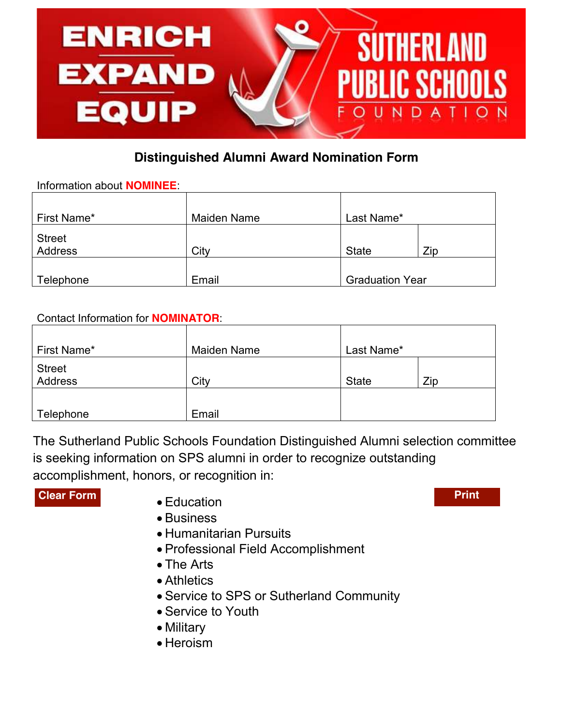

# **Distinguished Alumni Award Nomination Form**

Information about **NOMINEE**:

| First Name*              | <b>Maiden Name</b> | Last Name*             |     |
|--------------------------|--------------------|------------------------|-----|
| <b>Street</b><br>Address | City               | <b>State</b>           | Zip |
| Telephone                | Email              | <b>Graduation Year</b> |     |

## Contact Information for **NOMINATOR**:

| First Name*              | <b>Maiden Name</b> | Last Name*   |     |
|--------------------------|--------------------|--------------|-----|
| <b>Street</b><br>Address | City               | <b>State</b> | Zip |
| Telephone                | Email              |              |     |

The Sutherland Public Schools Foundation Distinguished Alumni selection committee is seeking information on SPS alumni in order to recognize outstanding accomplishment, honors, or recognition in:

### **Clear Form Print**

- Education
- Business
- Humanitarian Pursuits
- Professional Field Accomplishment
- The Arts
- Athletics
- Service to SPS or Sutherland Community
- Service to Youth
- Military
- Heroism